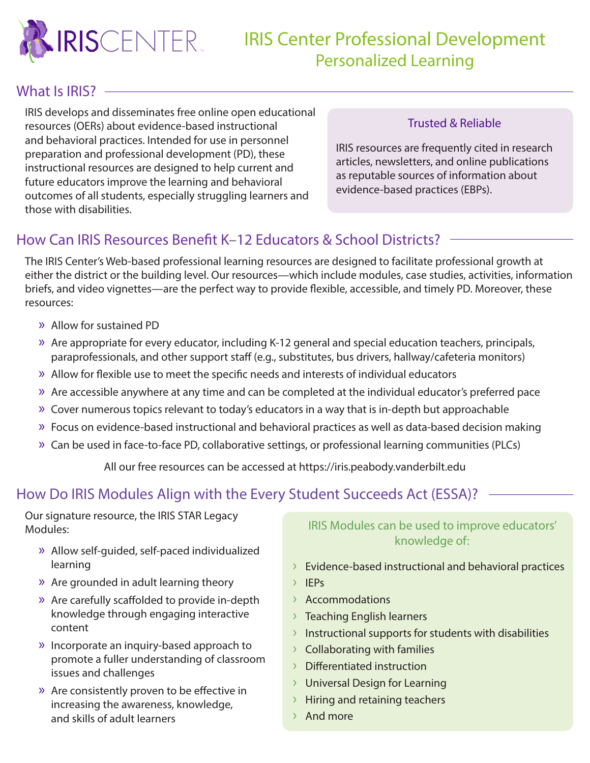

## IRIS Center Professional Development Personalized Learning

#### What Is IRIS? -

IRIS develops and disseminates free online open educational resources (OERs) about evidence-based instructional and behavioral practices. Intended for use in personnel preparation and professional development (PD), these instructional resources are designed to help current and future educators improve the learning and behavioral outcomes of all students, especially struggling learners and those with disabilities.

#### Trusted & Reliable

IRIS resources are frequently cited in research articles, newsletters, and online publications as reputable sources of information about evidence-based practices (EBPs).

### How Can IRIS Resources Benefit K–12 Educators & School Districts?

The IRIS Center's Web-based professional learning resources are designed to facilitate professional growth at either the district or the building level. Our resources—which include modules, case studies, activities, information briefs, and video vignettes—are the perfect way to provide flexible, accessible, and timely PD. Moreover, these resources:

- » Allow for sustained PD
- » Are appropriate for every educator, including K-12 general and special education teachers, principals, paraprofessionals, and other support staff (e.g., substitutes, bus drivers, hallway/cafeteria monitors)
- » Allow for flexible use to meet the specific needs and interests of individual educators
- » Are accessible anywhere at any time and can be completed at the individual educator's preferred pace
- » Cover numerous topics relevant to today's educators in a way that is in-depth but approachable
- » Focus on evidence-based instructional and behavioral practices as well as data-based decision making
- » Can be used in face-to-face PD, collaborative settings, or professional learning communities (PLCs)

All our free resources can be accessed at<https://iris.peabody.vanderbilt.edu>

## How Do IRIS Modules Align with the Every Student Succeeds Act (ESSA)?

Our signature resource, the IRIS STAR Legacy Modules:

- » Allow self-guided, self-paced individualized learning
- » Are grounded in adult learning theory
- » Are carefully scaffolded to provide in-depth knowledge through engaging interactive content
- » Incorporate an inquiry-based approach to promote a fuller understanding of classroom issues and challenges
- » Are consistently proven to be effective in increasing the awareness, knowledge, and skills of adult learners

IRIS Modules can be used to improve educators' knowledge of:

- $\rightarrow$  Evidence-based instructional and behavioral practices
- › IEPs
- › Accommodations
- › Teaching English learners
- $\rightarrow$  Instructional supports for students with disabilities
- › Collaborating with families
- › Differentiated instruction
- › Universal Design for Learning
- › Hiring and retaining teachers
- › And more